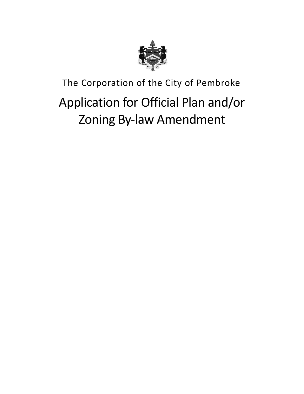

# The Corporation of the City of Pembroke Application for Official Plan and/or Zoning By-law Amendment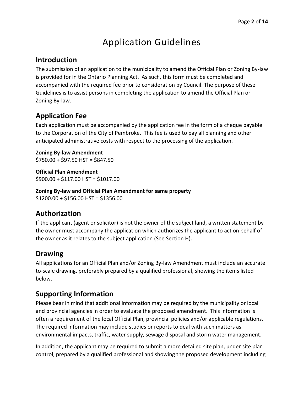### Application Guidelines

### **Introduction**

The submission of an application to the municipality to amend the Official Plan or Zoning By-law is provided for in the Ontario Planning Act. As such, this form must be completed and accompanied with the required fee prior to consideration by Council. The purpose of these Guidelines is to assist persons in completing the application to amend the Official Plan or Zoning By-law.

### **Application Fee**

Each application must be accompanied by the application fee in the form of a cheque payable to the Corporation of the City of Pembroke. This fee is used to pay all planning and other anticipated administrative costs with respect to the processing of the application.

**Zoning By-law Amendment**  $$750.00 + $97.50$  HST = \$847.50

**Official Plan Amendment** \$900.00 + \$117.00 HST = \$1017.00

**Zoning By-law and Official Plan Amendment for same property**  $$1200.00 + $156.00$  HST = \$1356.00

### **Authorization**

If the applicant (agent or solicitor) is not the owner of the subject land, a written statement by the owner must accompany the application which authorizes the applicant to act on behalf of the owner as it relates to the subject application (See Section H).

### **Drawing**

All applications for an Official Plan and/or Zoning By-law Amendment must include an accurate to-scale drawing, preferably prepared by a qualified professional, showing the items listed below.

### **Supporting Information**

Please bear in mind that additional information may be required by the municipality or local and provincial agencies in order to evaluate the proposed amendment. This information is often a requirement of the local Official Plan, provincial policies and/or applicable regulations. The required information may include studies or reports to deal with such matters as environmental impacts, traffic, water supply, sewage disposal and storm water management.

In addition, the applicant may be required to submit a more detailed site plan, under site plan control, prepared by a qualified professional and showing the proposed development including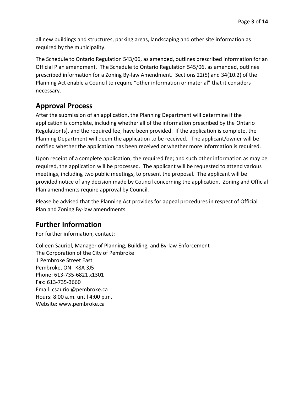all new buildings and structures, parking areas, landscaping and other site information as required by the municipality.

The Schedule to Ontario Regulation 543/06, as amended, outlines prescribed information for an Official Plan amendment. The Schedule to Ontario Regulation 545/06, as amended, outlines prescribed information for a Zoning By-law Amendment. Sections 22(5) and 34(10.2) of the Planning Act enable a Council to require "other information or material" that it considers necessary.

### **Approval Process**

After the submission of an application, the Planning Department will determine if the application is complete, including whether all of the information prescribed by the Ontario Regulation(s), and the required fee, have been provided. If the application is complete, the Planning Department will deem the application to be received. The applicant/owner will be notified whether the application has been received or whether more information is required.

Upon receipt of a complete application; the required fee; and such other information as may be required, the application will be processed. The applicant will be requested to attend various meetings, including two public meetings, to present the proposal. The applicant will be provided notice of any decision made by Council concerning the application. Zoning and Official Plan amendments require approval by Council.

Please be advised that the Planning Act provides for appeal procedures in respect of Official Plan and Zoning By-law amendments.

### **Further Information**

For further information, contact:

Colleen Sauriol, Manager of Planning, Building, and By-law Enforcement The Corporation of the City of Pembroke 1 Pembroke Street East Pembroke, ON K8A 3J5 Phone: 613-735-6821 x1301 Fax: 613-735-3660 Email: [csauriol@pembroke.ca](mailto:csauriol@pembroke.ca) Hours: 8:00 a.m. until 4:00 p.m. Website: [www.pembroke.ca](http://www.pembroke.ca)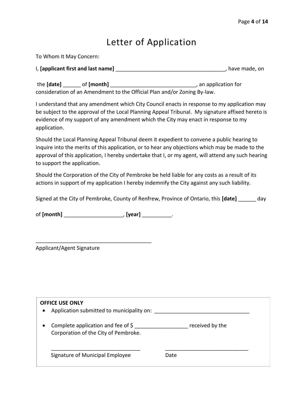### Letter of Application

| To Whom It May Concern:                                                  |                    |
|--------------------------------------------------------------------------|--------------------|
| I, [applicant first and last name]                                       | have made, on      |
| the [date]<br>of [month]                                                 | an application for |
| consideration of an Amendment to the Official Plan and/or Zoning By-law. |                    |

I understand that any amendment which City Council enacts in response to my application may be subject to the approval of the Local Planning Appeal Tribunal. My signature affixed hereto is evidence of my support of any amendment which the City may enact in response to my application.

Should the Local Planning Appeal Tribunal deem it expedient to convene a public hearing to inquire into the merits of this application, or to hear any objections which may be made to the approval of this application, I hereby undertake that I, or my agent, will attend any such hearing to support the application.

Should the Corporation of the City of Pembroke be held liable for any costs as a result of its actions in support of my application I hereby indemnify the City against any such liability.

Signed at the City of Pembroke, County of Renfrew, Province of Ontario, this **[date]** \_\_\_\_\_\_ day

of **[month]** \_\_\_\_\_\_\_\_\_\_\_\_\_\_\_\_\_\_\_\_, **[year]** \_\_\_\_\_\_\_\_\_\_.

\_\_\_\_\_\_\_\_\_\_\_\_\_\_\_\_\_\_\_\_\_\_\_\_\_\_\_\_\_\_\_\_\_\_\_\_\_\_\_

Applicant/Agent Signature

| <b>OFFICE USE ONLY</b><br>Application submitted to municipality on:<br>$\bullet$                   |                 |
|----------------------------------------------------------------------------------------------------|-----------------|
| Complete application and fee of $\frac{1}{2}$<br>$\bullet$<br>Corporation of the City of Pembroke. | received by the |
| Signature of Municipal Employee                                                                    | Date            |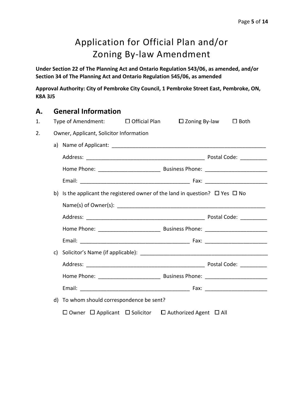## Application for Official Plan and/or Zoning By-law Amendment

**Under Section 22 of The Planning Act and Ontario Regulation 543/06, as amended, and/or Section 34 of The Planning Act and Ontario Regulation 545/06, as amended**

**Approval Authority: City of Pembroke City Council, 1 Pembroke Street East, Pembroke, ON, K8A 3J5**

## **A. General Information** 1. Type of Amendment: ☐ Official Plan ☐ Zoning By-law ☐ Both 2. Owner, Applicant, Solicitor Information a) Name of Applicant: **Alternation** Address: \_\_\_\_\_\_\_\_\_\_\_\_\_\_\_\_\_\_\_\_\_\_\_\_\_\_\_\_\_\_\_\_\_\_\_\_\_\_\_\_ Postal Code: \_\_\_\_\_\_\_\_\_ Home Phone: \_\_\_\_\_\_\_\_\_\_\_\_\_\_\_\_\_\_\_\_\_ Business Phone: \_\_\_\_\_\_\_\_\_\_\_\_\_\_\_\_\_\_\_\_\_ Email: Email: Email: Email: Email: Email: Email: Exception of the Second Library of the Second Library of the Second Library of the Second Library of the Second Library of the Second Library of the Second Library of the Se b) Is the applicant the registered owner of the land in question?  $\Box$  Yes  $\Box$  No Name(s) of Owner(s): Address: extending the state of the state of the Postal Code:  $P$ ostal Code:  $P$ Home Phone: \_\_\_\_\_\_\_\_\_\_\_\_\_\_\_\_\_\_\_\_\_ Business Phone: \_\_\_\_\_\_\_\_\_\_\_\_\_\_\_\_\_\_\_\_\_ Email: Email: Email: Email: Email: Email: Email: Exception of the Second Library of the Second Library of the Second Library of the Second Library of the Second Library of the Second Library of the Second Library of the Se c) Solicitor's Name (if applicable): \_\_\_\_\_\_\_\_\_\_\_\_\_\_\_\_\_\_\_\_\_\_\_\_\_\_\_\_\_\_\_\_\_\_\_\_\_\_\_\_\_\_\_ Address: etc. and the contract of the contract of the Postal Code:  $\blacksquare$ Home Phone: \_\_\_\_\_\_\_\_\_\_\_\_\_\_\_\_\_\_\_\_\_ Business Phone: \_\_\_\_\_\_\_\_\_\_\_\_\_\_\_\_\_\_\_\_\_ Email: \_\_\_\_\_\_\_\_\_\_\_\_\_\_\_\_\_\_\_\_\_\_\_\_\_\_\_\_\_\_\_\_\_\_\_\_\_ Fax: \_\_\_\_\_\_\_\_\_\_\_\_\_\_\_\_\_\_\_\_\_ d) To whom should correspondence be sent? ☐ Owner ☐ Applicant ☐ Solicitor ☐ Authorized Agent ☐ All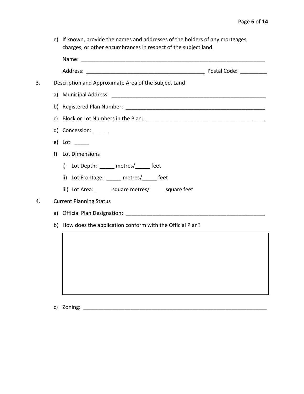e) If known, provide the names and addresses of the holders of any mortgages, charges, or other encumbrances in respect of the subject land.

| 3. |    | Description and Approximate Area of the Subject Land                                                                                                                                                                          |  |
|----|----|-------------------------------------------------------------------------------------------------------------------------------------------------------------------------------------------------------------------------------|--|
|    |    |                                                                                                                                                                                                                               |  |
|    |    |                                                                                                                                                                                                                               |  |
|    | c) |                                                                                                                                                                                                                               |  |
|    |    | d) Concession: _____                                                                                                                                                                                                          |  |
|    |    | $e)$ Lot: ________                                                                                                                                                                                                            |  |
|    | f  | Lot Dimensions                                                                                                                                                                                                                |  |
|    |    | i) Lot Depth: _____ metres/_____ feet                                                                                                                                                                                         |  |
|    |    | ii) Lot Frontage: _____ metres/_____ feet                                                                                                                                                                                     |  |
|    |    | iii) Lot Area: ______ square metres/_____ square feet                                                                                                                                                                         |  |
| 4. |    | <b>Current Planning Status</b>                                                                                                                                                                                                |  |
|    |    | a) Official Plan Designation: The Contract of the Contract of the Contract of the Contract of the Contract of the Contract of the Contract of the Contract of the Contract of the Contract of the Contract of the Contract of |  |
|    |    | b) How does the application conform with the Official Plan?                                                                                                                                                                   |  |
|    |    |                                                                                                                                                                                                                               |  |
|    |    |                                                                                                                                                                                                                               |  |
|    |    |                                                                                                                                                                                                                               |  |
|    |    |                                                                                                                                                                                                                               |  |
|    |    |                                                                                                                                                                                                                               |  |
|    |    |                                                                                                                                                                                                                               |  |

c) Zoning: \_\_\_\_\_\_\_\_\_\_\_\_\_\_\_\_\_\_\_\_\_\_\_\_\_\_\_\_\_\_\_\_\_\_\_\_\_\_\_\_\_\_\_\_\_\_\_\_\_\_\_\_\_\_\_\_\_\_\_\_\_\_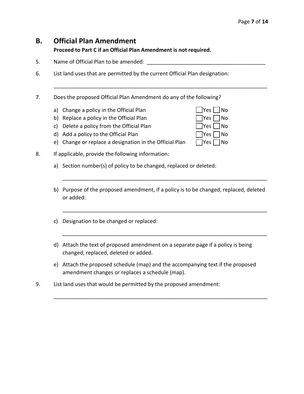### **B. Official Plan Amendment**

**Proceed to Part C if an Official Plan Amendment is not required.**

- 5. Name of Official Plan to be amended:
- 6. List land uses that are permitted by the current Official Plan designation:
- 7. Does the proposed Official Plan Amendment do any of the following?
	- a) Change a policy in the Official Plan  $\Box$  Yes  $\Box$  No
	- b) Replace a policy in the Official Plan  $\Box$  Yes  $\Box$  No
	- c) Delete a policy from the Official Plan  $\Box$  Yes  $\Box$  No
	- d) Add a policy to the Official Plan  $\Box$  Yes  $\Box$  No
	- e) Change or replace a designation in the Official Plan  $\Box$  Yes  $\Box$  No
- 8. If applicable, provide the following information:
	- a) Section number(s) of policy to be changed, replaced or deleted:
	- b) Purpose of the proposed amendment, if a policy is to be changed, replaced, deleted or added:

\_\_\_\_\_\_\_\_\_\_\_\_\_\_\_\_\_\_\_\_\_\_\_\_\_\_\_\_\_\_\_\_\_\_\_\_\_\_\_\_\_\_\_\_\_\_\_\_\_\_\_\_\_\_\_\_\_\_\_\_\_\_\_\_\_\_\_\_\_

\_\_\_\_\_\_\_\_\_\_\_\_\_\_\_\_\_\_\_\_\_\_\_\_\_\_\_\_\_\_\_\_\_\_\_\_\_\_\_\_\_\_\_\_\_\_\_\_\_\_\_\_\_\_\_\_\_\_\_\_\_\_\_\_\_\_\_\_\_

\_\_\_\_\_\_\_\_\_\_\_\_\_\_\_\_\_\_\_\_\_\_\_\_\_\_\_\_\_\_\_\_\_\_\_\_\_\_\_\_\_\_\_\_\_\_\_\_\_\_\_\_\_\_\_\_\_\_\_\_\_\_\_\_\_\_\_\_\_

\_\_\_\_\_\_\_\_\_\_\_\_\_\_\_\_\_\_\_\_\_\_\_\_\_\_\_\_\_\_\_\_\_\_\_\_\_\_\_\_\_\_\_\_\_\_\_\_\_\_\_\_\_\_\_\_\_\_\_\_\_\_\_\_\_\_\_\_\_\_\_\_

- c) Designation to be changed or replaced:
- d) Attach the text of proposed amendment on a separate page if a policy is being changed, replaced, deleted or added.
- e) Attach the proposed schedule (map) and the accompanying text if the proposed amendment changes or replaces a schedule (map).

\_\_\_\_\_\_\_\_\_\_\_\_\_\_\_\_\_\_\_\_\_\_\_\_\_\_\_\_\_\_\_\_\_\_\_\_\_\_\_\_\_\_\_\_\_\_\_\_\_\_\_\_\_\_\_\_\_\_\_\_\_\_\_\_\_\_\_\_\_\_\_\_

9. List land uses that would be permitted by the proposed amendment:

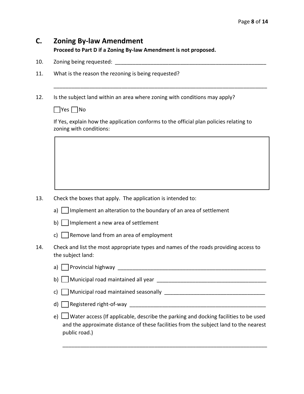### **C. Zoning By-law Amendment**

**Proceed to Part D if a Zoning By-law Amendment is not proposed.**

- 10. Zoning being requested:
- 11. What is the reason the rezoning is being requested?
- 12. Is the subject land within an area where zoning with conditions may apply?

 $\Box$  Yes  $\Box$  No

If Yes, explain how the application conforms to the official plan policies relating to zoning with conditions:

\_\_\_\_\_\_\_\_\_\_\_\_\_\_\_\_\_\_\_\_\_\_\_\_\_\_\_\_\_\_\_\_\_\_\_\_\_\_\_\_\_\_\_\_\_\_\_\_\_\_\_\_\_\_\_\_\_\_\_\_\_\_\_\_\_\_\_\_\_\_\_\_

- 13. Check the boxes that apply. The application is intended to:
	- a)  $\Box$  Implement an alteration to the boundary of an area of settlement
	- b)  $\Box$  Implement a new area of settlement
	- c) Remove land from an area of employment
- 14. Check and list the most appropriate types and names of the roads providing access to the subject land:

| a) Provincial highway                                                                                                                                                                                   |
|---------------------------------------------------------------------------------------------------------------------------------------------------------------------------------------------------------|
| b) $\Box$ Municipal road maintained all year $\Box$                                                                                                                                                     |
|                                                                                                                                                                                                         |
|                                                                                                                                                                                                         |
| e) $\Box$ Water access (If applicable, describe the parking and docking facilities to be used<br>and the approximate distance of these facilities from the subject land to the nearest<br>public road.) |

\_\_\_\_\_\_\_\_\_\_\_\_\_\_\_\_\_\_\_\_\_\_\_\_\_\_\_\_\_\_\_\_\_\_\_\_\_\_\_\_\_\_\_\_\_\_\_\_\_\_\_\_\_\_\_\_\_\_\_\_\_\_\_\_\_\_\_\_\_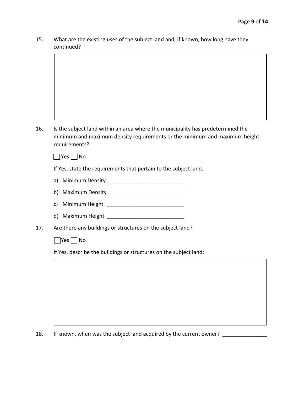15. What are the existing uses of the subject land and, if known, how long have they continued?

16. Is the subject land within an area where the municipality has predetermined the minimum and maximum density requirements or the minimum and maximum height requirements?

 $\Box$  Yes  $\Box$  No

If Yes, state the requirements that pertain to the subject land.

- a) Minimum Density \_\_\_\_\_\_\_\_\_\_\_\_\_\_\_\_\_\_\_\_\_\_\_\_\_\_
- b) Maximum Density\_\_\_\_\_\_\_\_\_\_\_\_\_\_\_\_\_\_\_\_\_\_\_\_\_\_
- c) Minimum Height \_\_\_\_\_\_\_\_\_\_\_\_\_\_\_\_\_\_\_\_\_\_\_\_\_\_
- d) Maximum Height **Maximum** Height
- 17. Are there any buildings or structures on the subject land?

 $\Box$  Yes  $\Box$  No

If Yes, describe the buildings or structures on the subject land:

18. If known, when was the subject land acquired by the current owner?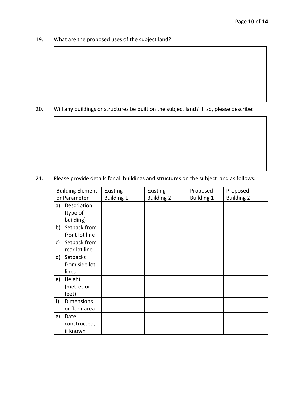19. What are the proposed uses of the subject land?

20. Will any buildings or structures be built on the subject land? If so, please describe:

21. Please provide details for all buildings and structures on the subject land as follows:

| <b>Building Element</b> |                   | Existing          | Existing          | Proposed          | Proposed          |
|-------------------------|-------------------|-------------------|-------------------|-------------------|-------------------|
| or Parameter            |                   | <b>Building 1</b> | <b>Building 2</b> | <b>Building 1</b> | <b>Building 2</b> |
| a)                      | Description       |                   |                   |                   |                   |
|                         | (type of          |                   |                   |                   |                   |
|                         | building)         |                   |                   |                   |                   |
| b)                      | Setback from      |                   |                   |                   |                   |
|                         | front lot line    |                   |                   |                   |                   |
| c)                      | Setback from      |                   |                   |                   |                   |
|                         | rear lot line     |                   |                   |                   |                   |
|                         | d) Setbacks       |                   |                   |                   |                   |
|                         | from side lot     |                   |                   |                   |                   |
|                         | lines             |                   |                   |                   |                   |
| e)                      | Height            |                   |                   |                   |                   |
|                         | (metres or        |                   |                   |                   |                   |
|                         | feet)             |                   |                   |                   |                   |
| f)                      | <b>Dimensions</b> |                   |                   |                   |                   |
|                         | or floor area     |                   |                   |                   |                   |
| g)                      | Date              |                   |                   |                   |                   |
|                         | constructed,      |                   |                   |                   |                   |
|                         | if known          |                   |                   |                   |                   |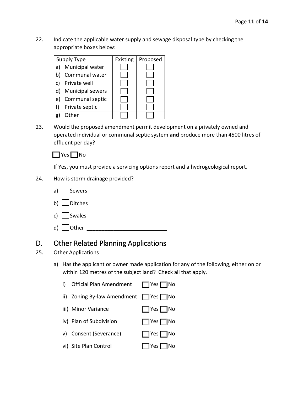22. Indicate the applicable water supply and sewage disposal type by checking the appropriate boxes below:

|    | Supply Type             | Existing | Proposed |
|----|-------------------------|----------|----------|
| a) | Municipal water         |          |          |
|    | Communal water          |          |          |
|    | Private well            |          |          |
|    | <b>Municipal sewers</b> |          |          |
| e  | Communal septic         |          |          |
| f) | Private septic          |          |          |
|    | Other                   |          |          |

23. Would the proposed amendment permit development on a privately owned and operated individual or communal septic system **and** produce more than 4500 litres of effluent per day?



If Yes, you must provide a servicing options report and a hydrogeological report.

- 24. How is storm drainage provided?
	- a)  $\Box$  Sewers
	- b)  $\Box$  Ditches
	- c) Swales
	- d) ☐ Other \_\_\_\_\_\_\_\_\_\_\_\_\_\_\_\_\_\_\_\_\_\_\_\_\_\_\_

### D. Other Related Planning Applications

- 25. Other Applications
	- a) Has the applicant or owner made application for any of the following, either on or within 120 metres of the subject land? Check all that apply.

| i) Official Plan Amendment $\Box$ Yes $\Box$ No  |                      |
|--------------------------------------------------|----------------------|
| ii) Zoning By-law Amendment $\Box$ Yes $\Box$ No |                      |
| iii) Minor Variance                              | $\Box$ Yes $\Box$ No |
| iv) Plan of Subdivision                          | $\Box$ Yes $\Box$ No |
| v) Consent (Severance)                           | $\Box$ Yes $\Box$ No |
| vi) Site Plan Control                            | $\Box$ Yes $\Box$ No |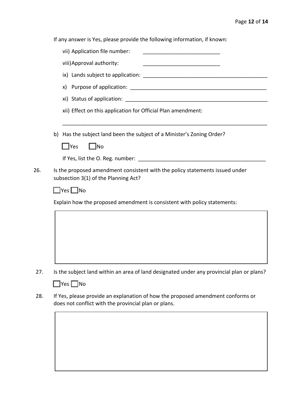If any answer is Yes, please provide the following information, if known:

| vii) Application file number:                                                                                        |
|----------------------------------------------------------------------------------------------------------------------|
| viii) Approval authority:                                                                                            |
|                                                                                                                      |
|                                                                                                                      |
|                                                                                                                      |
| xii) Effect on this application for Official Plan amendment:                                                         |
| b) Has the subject land been the subject of a Minister's Zoning Order?                                               |
| $\Box$ No<br>$\Box$ Yes                                                                                              |
| If Yes, list the O. Reg. number:                                                                                     |
| Is the proposed amendment consistent with the policy statements issued under<br>subsection 3(1) of the Planning Act? |
| $\square$ Yes $\square$ No                                                                                           |
| Explain how the proposed amendment is consistent with policy statements:                                             |
|                                                                                                                      |
|                                                                                                                      |
|                                                                                                                      |
|                                                                                                                      |
|                                                                                                                      |

28. If Yes, please provide an explanation of how the proposed amendment conforms or does not conflict with the provincial plan or plans.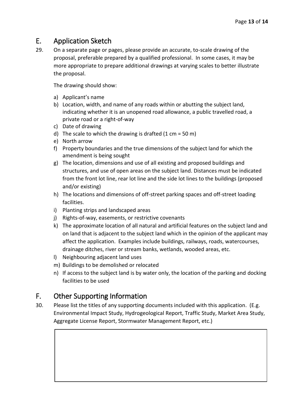### E. Application Sketch

29. On a separate page or pages, please provide an accurate, to-scale drawing of the proposal, preferable prepared by a qualified professional. In some cases, it may be more appropriate to prepare additional drawings at varying scales to better illustrate the proposal.

The drawing should show:

- a) Applicant's name
- b) Location, width, and name of any roads within or abutting the subject land, indicating whether it is an unopened road allowance, a public travelled road, a private road or a right-of-way
- c) Date of drawing
- d) The scale to which the drawing is drafted  $(1 \text{ cm} = 50 \text{ m})$
- e) North arrow
- f) Property boundaries and the true dimensions of the subject land for which the amendment is being sought
- g) The location, dimensions and use of all existing and proposed buildings and structures, and use of open areas on the subject land. Distances must be indicated from the front lot line, rear lot line and the side lot lines to the buildings (proposed and/or existing)
- h) The locations and dimensions of off-street parking spaces and off-street loading facilities.
- i) Planting strips and landscaped areas
- j) Rights-of-way, easements, or restrictive covenants
- k) The approximate location of all natural and artificial features on the subject land and on land that is adjacent to the subject land which in the opinion of the applicant may affect the application. Examples include buildings, railways, roads, watercourses, drainage ditches, river or stream banks, wetlands, wooded areas, etc.
- l) Neighbouring adjacent land uses
- m) Buildings to be demolished or relocated
- n) If access to the subject land is by water only, the location of the parking and docking facilities to be used

### F. Other Supporting Information

30. Please list the titles of any supporting documents included with this application. (E.g. Environmental Impact Study, Hydrogeological Report, Traffic Study, Market Area Study, Aggregate License Report, Stormwater Management Report, etc.)